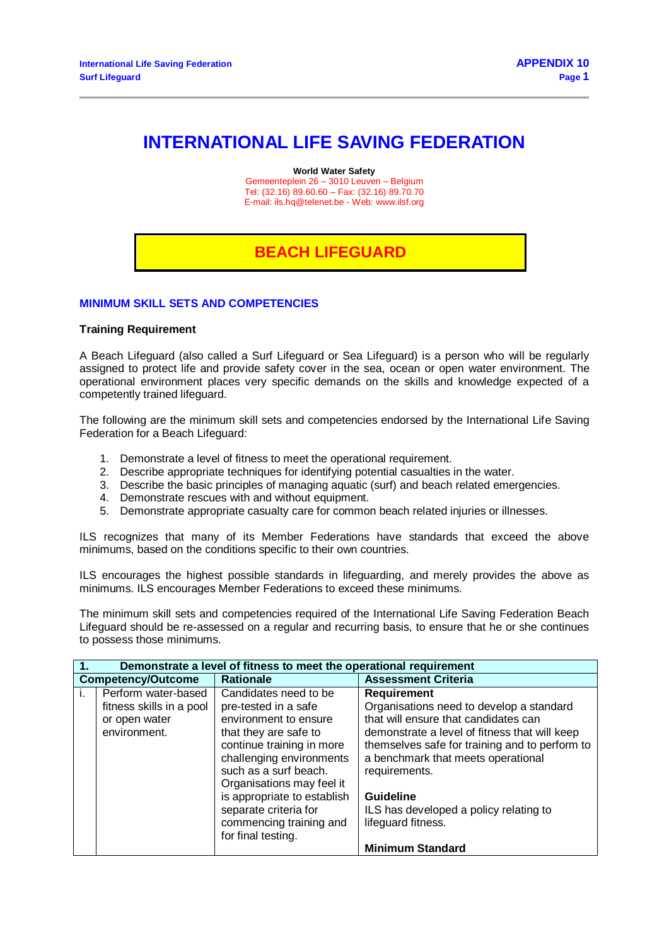# **INTERNATIONAL LIFE SAVING FEDERATION**

**World Water Safety**

Gemeenteplein 26 – 3010 Leuven – Belgium Tel: (32.16) 89.60.60 – Fax: (32.16) 89.70.70 E-mail[: ils.hq@telenet.be](mailto:ils.hq@telenet.be) - Web[: www.ilsf.org](http://www.ilsf.org/)

## **BEACH LIFEGUARD**

#### **MINIMUM SKILL SETS AND COMPETENCIES**

### **Training Requirement**

A Beach Lifeguard (also called a Surf Lifeguard or Sea Lifeguard) is a person who will be regularly assigned to protect life and provide safety cover in the sea, ocean or open water environment. The operational environment places very specific demands on the skills and knowledge expected of a competently trained lifeguard.

The following are the minimum skill sets and competencies endorsed by the International Life Saving Federation for a Beach Lifeguard:

- 1. Demonstrate a level of fitness to meet the operational requirement.
- 2. Describe appropriate techniques for identifying potential casualties in the water.
- 3. Describe the basic principles of managing aquatic (surf) and beach related emergencies.
- 4. Demonstrate rescues with and without equipment.
- 5. Demonstrate appropriate casualty care for common beach related injuries or illnesses.

ILS recognizes that many of its Member Federations have standards that exceed the above minimums, based on the conditions specific to their own countries.

ILS encourages the highest possible standards in lifeguarding, and merely provides the above as minimums. ILS encourages Member Federations to exceed these minimums.

The minimum skill sets and competencies required of the International Life Saving Federation Beach Lifeguard should be re-assessed on a regular and recurring basis, to ensure that he or she continues to possess those minimums.

| T. | Demonstrate a level of fitness to meet the operational requirement |                             |                                                |  |
|----|--------------------------------------------------------------------|-----------------------------|------------------------------------------------|--|
|    | <b>Competency/Outcome</b>                                          | <b>Rationale</b>            | <b>Assessment Criteria</b>                     |  |
| j. | Perform water-based                                                | Candidates need to be       | <b>Requirement</b>                             |  |
|    | fitness skills in a pool                                           | pre-tested in a safe        | Organisations need to develop a standard       |  |
|    | or open water                                                      | environment to ensure       | that will ensure that candidates can           |  |
|    | environment.                                                       | that they are safe to       | demonstrate a level of fitness that will keep  |  |
|    |                                                                    | continue training in more   | themselves safe for training and to perform to |  |
|    |                                                                    | challenging environments    | a benchmark that meets operational             |  |
|    |                                                                    | such as a surf beach.       | requirements.                                  |  |
|    |                                                                    | Organisations may feel it   |                                                |  |
|    |                                                                    | is appropriate to establish | <b>Guideline</b>                               |  |
|    |                                                                    | separate criteria for       | ILS has developed a policy relating to         |  |
|    |                                                                    | commencing training and     | lifeguard fitness.                             |  |
|    |                                                                    | for final testing.          |                                                |  |
|    |                                                                    |                             | <b>Minimum Standard</b>                        |  |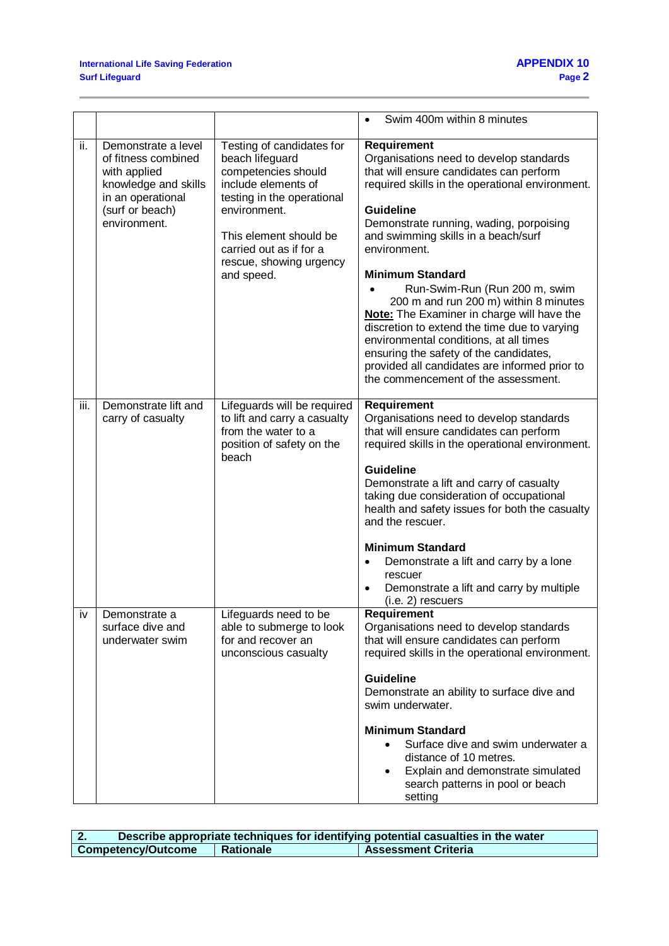|      |                                                                                                                                            |                                                                                                                                                                                                                                        | Swim 400m within 8 minutes                                                                                                                                                                                                                                                                                                                                                                                                                                                                                                                                                                                                                                              |
|------|--------------------------------------------------------------------------------------------------------------------------------------------|----------------------------------------------------------------------------------------------------------------------------------------------------------------------------------------------------------------------------------------|-------------------------------------------------------------------------------------------------------------------------------------------------------------------------------------------------------------------------------------------------------------------------------------------------------------------------------------------------------------------------------------------------------------------------------------------------------------------------------------------------------------------------------------------------------------------------------------------------------------------------------------------------------------------------|
| ii.  | Demonstrate a level<br>of fitness combined<br>with applied<br>knowledge and skills<br>in an operational<br>(surf or beach)<br>environment. | Testing of candidates for<br>beach lifeguard<br>competencies should<br>include elements of<br>testing in the operational<br>environment.<br>This element should be<br>carried out as if for a<br>rescue, showing urgency<br>and speed. | <b>Requirement</b><br>Organisations need to develop standards<br>that will ensure candidates can perform<br>required skills in the operational environment.<br><b>Guideline</b><br>Demonstrate running, wading, porpoising<br>and swimming skills in a beach/surf<br>environment.<br><b>Minimum Standard</b><br>Run-Swim-Run (Run 200 m, swim<br>200 m and run 200 m) within 8 minutes<br><b>Note:</b> The Examiner in charge will have the<br>discretion to extend the time due to varying<br>environmental conditions, at all times<br>ensuring the safety of the candidates,<br>provided all candidates are informed prior to<br>the commencement of the assessment. |
| iii. | Demonstrate lift and<br>carry of casualty                                                                                                  | Lifeguards will be required<br>to lift and carry a casualty<br>from the water to a<br>position of safety on the<br>beach                                                                                                               | <b>Requirement</b><br>Organisations need to develop standards<br>that will ensure candidates can perform<br>required skills in the operational environment.<br><b>Guideline</b><br>Demonstrate a lift and carry of casualty<br>taking due consideration of occupational<br>health and safety issues for both the casualty<br>and the rescuer.<br><b>Minimum Standard</b><br>Demonstrate a lift and carry by a lone<br>$\bullet$<br>rescuer<br>Demonstrate a lift and carry by multiple<br>$(i.e. 2)$ rescuers                                                                                                                                                           |
| iv   | Demonstrate a<br>surface dive and<br>underwater swim                                                                                       | Lifeguards need to be<br>able to submerge to look<br>for and recover an<br>unconscious casualty                                                                                                                                        | <b>Requirement</b><br>Organisations need to develop standards<br>that will ensure candidates can perform<br>required skills in the operational environment.<br><b>Guideline</b><br>Demonstrate an ability to surface dive and<br>swim underwater.<br><b>Minimum Standard</b><br>Surface dive and swim underwater a<br>distance of 10 metres.<br>Explain and demonstrate simulated<br>search patterns in pool or beach<br>setting                                                                                                                                                                                                                                        |

|                    | Describe appropriate techniques for identifying potential casualties in the water |                            |  |
|--------------------|-----------------------------------------------------------------------------------|----------------------------|--|
| Competency/Outcome | Rationale                                                                         | <b>Assessment Criteria</b> |  |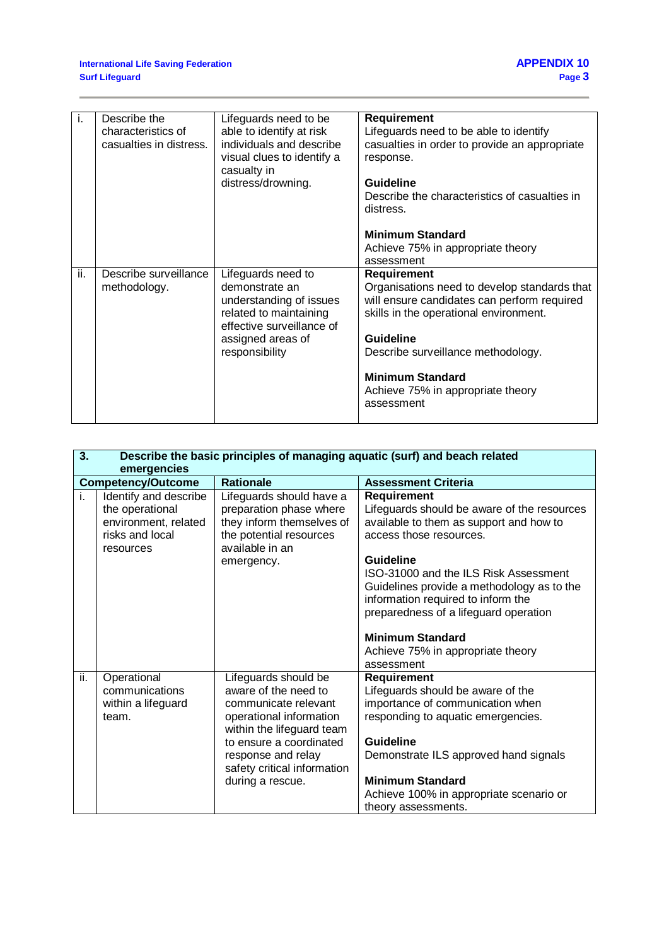|     | Describe the            |                            |                                               |
|-----|-------------------------|----------------------------|-----------------------------------------------|
| Τ.  |                         | Lifeguards need to be      | Requirement                                   |
|     | characteristics of      | able to identify at risk   | Lifeguards need to be able to identify        |
|     | casualties in distress. | individuals and describe   | casualties in order to provide an appropriate |
|     |                         | visual clues to identify a | response.                                     |
|     |                         | casualty in                |                                               |
|     |                         |                            | <b>Guideline</b>                              |
|     |                         | distress/drowning.         |                                               |
|     |                         |                            | Describe the characteristics of casualties in |
|     |                         |                            | distress.                                     |
|     |                         |                            |                                               |
|     |                         |                            | <b>Minimum Standard</b>                       |
|     |                         |                            | Achieve 75% in appropriate theory             |
|     |                         |                            | assessment                                    |
|     |                         |                            |                                               |
| ii. | Describe surveillance   | Lifeguards need to         | <b>Requirement</b>                            |
|     |                         |                            |                                               |
|     | methodology.            | demonstrate an             | Organisations need to develop standards that  |
|     |                         | understanding of issues    | will ensure candidates can perform required   |
|     |                         |                            |                                               |
|     |                         | related to maintaining     | skills in the operational environment.        |
|     |                         | effective surveillance of  |                                               |
|     |                         | assigned areas of          | <b>Guideline</b>                              |
|     |                         | responsibility             | Describe surveillance methodology.            |
|     |                         |                            |                                               |
|     |                         |                            | <b>Minimum Standard</b>                       |
|     |                         |                            |                                               |
|     |                         |                            | Achieve 75% in appropriate theory             |
|     |                         |                            | assessment                                    |

| 3.  | Describe the basic principles of managing aquatic (surf) and beach related<br>emergencies        |                                                                                                                                                                                                                                  |                                                                                                                                                                                                                                                                                                    |  |
|-----|--------------------------------------------------------------------------------------------------|----------------------------------------------------------------------------------------------------------------------------------------------------------------------------------------------------------------------------------|----------------------------------------------------------------------------------------------------------------------------------------------------------------------------------------------------------------------------------------------------------------------------------------------------|--|
|     | <b>Competency/Outcome</b>                                                                        | <b>Rationale</b>                                                                                                                                                                                                                 | <b>Assessment Criteria</b>                                                                                                                                                                                                                                                                         |  |
| i.  | Identify and describe<br>the operational<br>environment, related<br>risks and local<br>resources | Lifeguards should have a<br>preparation phase where<br>they inform themselves of<br>the potential resources<br>available in an                                                                                                   | <b>Requirement</b><br>Lifeguards should be aware of the resources<br>available to them as support and how to<br>access those resources.                                                                                                                                                            |  |
|     |                                                                                                  | emergency.                                                                                                                                                                                                                       | Guideline<br>ISO-31000 and the ILS Risk Assessment<br>Guidelines provide a methodology as to the<br>information required to inform the<br>preparedness of a lifeguard operation<br><b>Minimum Standard</b><br>Achieve 75% in appropriate theory                                                    |  |
| ii. | Operational<br>communications<br>within a lifeguard<br>team.                                     | Lifeguards should be<br>aware of the need to<br>communicate relevant<br>operational information<br>within the lifeguard team<br>to ensure a coordinated<br>response and relay<br>safety critical information<br>during a rescue. | assessment<br><b>Requirement</b><br>Lifeguards should be aware of the<br>importance of communication when<br>responding to aquatic emergencies.<br>Guideline<br>Demonstrate ILS approved hand signals<br><b>Minimum Standard</b><br>Achieve 100% in appropriate scenario or<br>theory assessments. |  |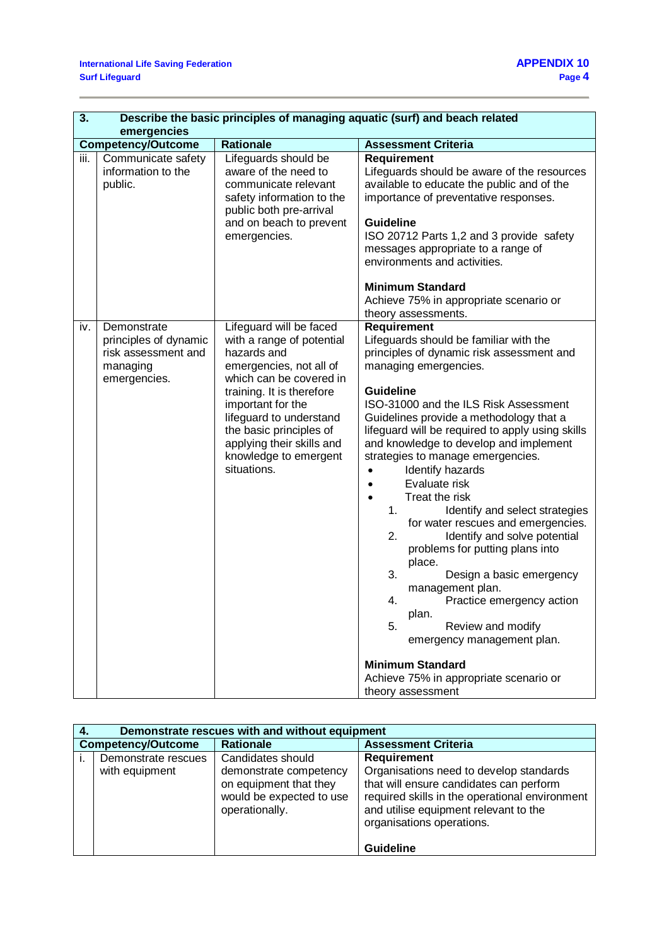| $\overline{\mathbf{3}}$ . | Describe the basic principles of managing aquatic (surf) and beach related<br>emergencies |                                                                                                                                                                                                                                                                                                        |                                                                                                                                                                                                                                                                                                                                                                                                                                                                                                                                                                                                                                                                                                                                                                                                                                                                         |  |
|---------------------------|-------------------------------------------------------------------------------------------|--------------------------------------------------------------------------------------------------------------------------------------------------------------------------------------------------------------------------------------------------------------------------------------------------------|-------------------------------------------------------------------------------------------------------------------------------------------------------------------------------------------------------------------------------------------------------------------------------------------------------------------------------------------------------------------------------------------------------------------------------------------------------------------------------------------------------------------------------------------------------------------------------------------------------------------------------------------------------------------------------------------------------------------------------------------------------------------------------------------------------------------------------------------------------------------------|--|
|                           | <b>Competency/Outcome</b>                                                                 | <b>Rationale</b>                                                                                                                                                                                                                                                                                       | <b>Assessment Criteria</b>                                                                                                                                                                                                                                                                                                                                                                                                                                                                                                                                                                                                                                                                                                                                                                                                                                              |  |
| iii.                      | Communicate safety<br>information to the<br>public.                                       | Lifeguards should be<br>aware of the need to<br>communicate relevant<br>safety information to the<br>public both pre-arrival<br>and on beach to prevent<br>emergencies.                                                                                                                                | <b>Requirement</b><br>Lifeguards should be aware of the resources<br>available to educate the public and of the<br>importance of preventative responses.<br>Guideline<br>ISO 20712 Parts 1,2 and 3 provide safety<br>messages appropriate to a range of<br>environments and activities.<br><b>Minimum Standard</b><br>Achieve 75% in appropriate scenario or<br>theory assessments.                                                                                                                                                                                                                                                                                                                                                                                                                                                                                     |  |
| iv.                       | Demonstrate<br>principles of dynamic<br>risk assessment and<br>managing<br>emergencies.   | Lifeguard will be faced<br>with a range of potential<br>hazards and<br>emergencies, not all of<br>which can be covered in<br>training. It is therefore<br>important for the<br>lifeguard to understand<br>the basic principles of<br>applying their skills and<br>knowledge to emergent<br>situations. | <b>Requirement</b><br>Lifeguards should be familiar with the<br>principles of dynamic risk assessment and<br>managing emergencies.<br><b>Guideline</b><br>ISO-31000 and the ILS Risk Assessment<br>Guidelines provide a methodology that a<br>lifeguard will be required to apply using skills<br>and knowledge to develop and implement<br>strategies to manage emergencies.<br>Identify hazards<br>Evaluate risk<br>Treat the risk<br>$\bullet$<br>1.<br>Identify and select strategies<br>for water rescues and emergencies.<br>Identify and solve potential<br>2.<br>problems for putting plans into<br>place.<br>3.<br>Design a basic emergency<br>management plan.<br>4.<br>Practice emergency action<br>plan.<br>5.<br>Review and modify<br>emergency management plan.<br><b>Minimum Standard</b><br>Achieve 75% in appropriate scenario or<br>theory assessment |  |

|                           | Demonstrate rescues with and without equipment |                                                                                                                     |                                                                                                                                                                                                                                  |  |
|---------------------------|------------------------------------------------|---------------------------------------------------------------------------------------------------------------------|----------------------------------------------------------------------------------------------------------------------------------------------------------------------------------------------------------------------------------|--|
| <b>Competency/Outcome</b> |                                                | <b>Rationale</b>                                                                                                    | <b>Assessment Criteria</b>                                                                                                                                                                                                       |  |
|                           | Demonstrate rescues<br>with equipment          | Candidates should<br>demonstrate competency<br>on equipment that they<br>would be expected to use<br>operationally. | <b>Requirement</b><br>Organisations need to develop standards<br>that will ensure candidates can perform<br>required skills in the operational environment<br>and utilise equipment relevant to the<br>organisations operations. |  |
|                           |                                                |                                                                                                                     | <b>Guideline</b>                                                                                                                                                                                                                 |  |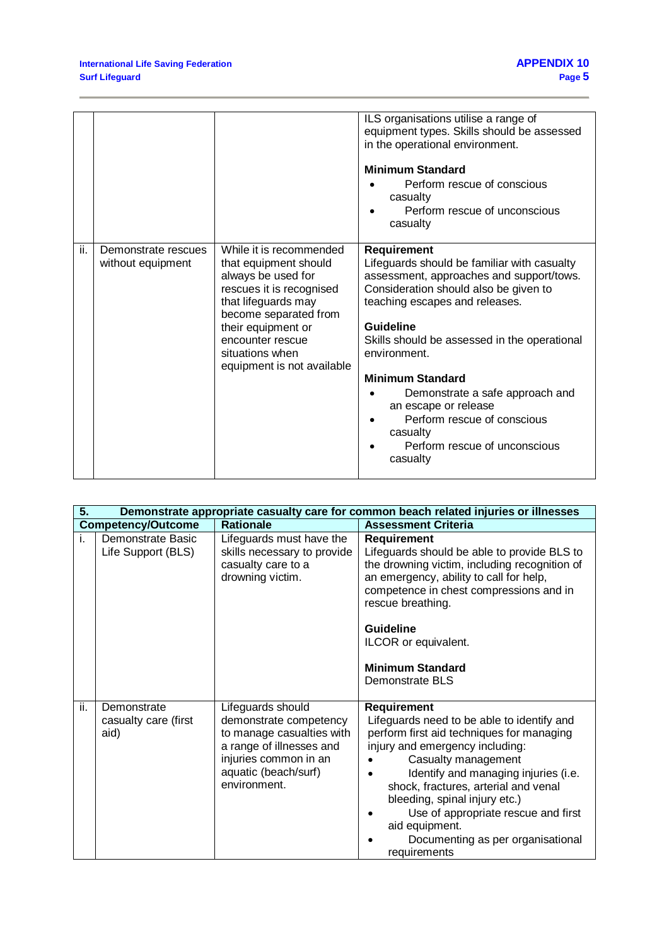|     |                     |                                             | ILS organisations utilise a range of<br>equipment types. Skills should be assessed<br>in the operational environment. |
|-----|---------------------|---------------------------------------------|-----------------------------------------------------------------------------------------------------------------------|
|     |                     |                                             | <b>Minimum Standard</b><br>Perform rescue of conscious                                                                |
|     |                     |                                             | casualty                                                                                                              |
|     |                     |                                             | Perform rescue of unconscious<br>casualty                                                                             |
|     |                     |                                             |                                                                                                                       |
| ii. | Demonstrate rescues | While it is recommended                     | <b>Requirement</b>                                                                                                    |
|     | without equipment   | that equipment should                       | Lifeguards should be familiar with casualty                                                                           |
|     |                     | always be used for                          | assessment, approaches and support/tows.                                                                              |
|     |                     | rescues it is recognised                    | Consideration should also be given to                                                                                 |
|     |                     | that lifeguards may                         | teaching escapes and releases.                                                                                        |
|     |                     | become separated from<br>their equipment or | Guideline                                                                                                             |
|     |                     | encounter rescue                            |                                                                                                                       |
|     |                     | situations when                             | Skills should be assessed in the operational<br>environment.                                                          |
|     |                     | equipment is not available                  |                                                                                                                       |
|     |                     |                                             | <b>Minimum Standard</b>                                                                                               |
|     |                     |                                             | Demonstrate a safe approach and<br>an escape or release                                                               |
|     |                     |                                             | Perform rescue of conscious                                                                                           |
|     |                     |                                             | casualty                                                                                                              |
|     |                     |                                             | Perform rescue of unconscious<br>casualty                                                                             |
|     |                     |                                             |                                                                                                                       |

| 5.  | Demonstrate appropriate casualty care for common beach related injuries or illnesses |                                                                                                                                                                       |                                                                                                                                                                                                                                                                                                                                                                                                        |  |
|-----|--------------------------------------------------------------------------------------|-----------------------------------------------------------------------------------------------------------------------------------------------------------------------|--------------------------------------------------------------------------------------------------------------------------------------------------------------------------------------------------------------------------------------------------------------------------------------------------------------------------------------------------------------------------------------------------------|--|
|     | <b>Competency/Outcome</b>                                                            | <b>Rationale</b>                                                                                                                                                      | <b>Assessment Criteria</b>                                                                                                                                                                                                                                                                                                                                                                             |  |
| i.  | <b>Demonstrate Basic</b><br>Life Support (BLS)                                       | Lifeguards must have the<br>skills necessary to provide<br>casualty care to a<br>drowning victim.                                                                     | <b>Requirement</b><br>Lifeguards should be able to provide BLS to<br>the drowning victim, including recognition of<br>an emergency, ability to call for help,<br>competence in chest compressions and in<br>rescue breathing.<br>Guideline<br>ILCOR or equivalent.<br><b>Minimum Standard</b><br>Demonstrate BLS                                                                                       |  |
| ii. | Demonstrate<br>casualty care (first<br>aid)                                          | Lifeguards should<br>demonstrate competency<br>to manage casualties with<br>a range of illnesses and<br>injuries common in an<br>aquatic (beach/surf)<br>environment. | <b>Requirement</b><br>Lifeguards need to be able to identify and<br>perform first aid techniques for managing<br>injury and emergency including:<br>Casualty management<br>Identify and managing injuries (i.e.<br>shock, fractures, arterial and venal<br>bleeding, spinal injury etc.)<br>Use of appropriate rescue and first<br>aid equipment.<br>Documenting as per organisational<br>requirements |  |